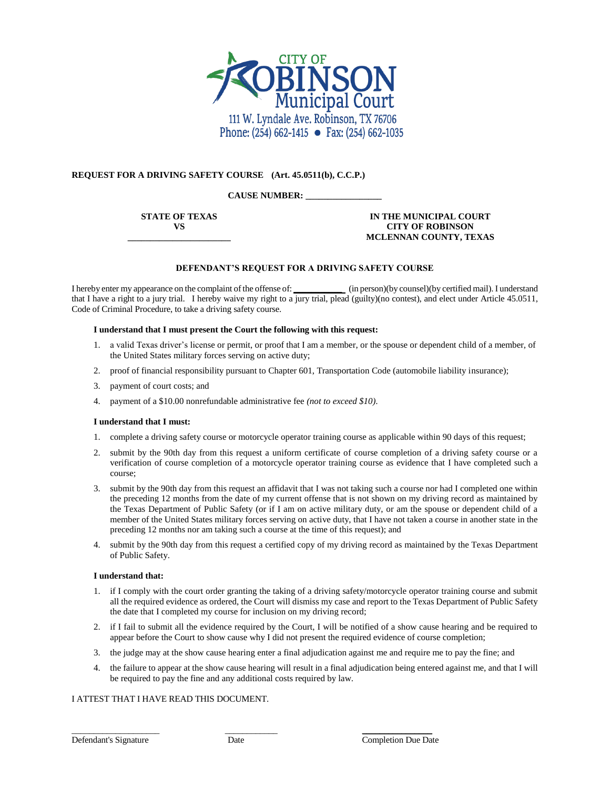

## **REQUEST FOR A DRIVING SAFETY COURSE (Art. 45.0511(b), C.C.P.)**

## **CAUSE NUMBER: \_\_\_\_\_\_\_\_\_\_\_\_\_\_\_\_\_**

**STATE OF TEXAS VS \_\_\_\_\_\_\_\_\_\_\_\_\_\_\_\_\_\_\_\_\_\_\_**

## **IN THE MUNICIPAL COURT CITY OF ROBINSON MCLENNAN COUNTY, TEXAS**

## **DEFENDANT'S REQUEST FOR A DRIVING SAFETY COURSE**

I hereby enter my appearance on the complaint of the offense of: **\_\_\_\_\_\_\_\_\_\_\_** (in person)(by counsel)(by certified mail). I understand that I have a right to a jury trial. I hereby waive my right to a jury trial, plead (guilty)(no contest), and elect under Article 45.0511, Code of Criminal Procedure, to take a driving safety course.

### **I understand that I must present the Court the following with this request:**

- 1. a valid Texas driver's license or permit, or proof that I am a member, or the spouse or dependent child of a member, of the United States military forces serving on active duty;
- 2. proof of financial responsibility pursuant to Chapter 601, Transportation Code (automobile liability insurance);
- 3. payment of court costs; and
- 4. payment of a \$10.00 nonrefundable administrative fee *(not to exceed \$10)*.

### **I understand that I must:**

- 1. complete a driving safety course or motorcycle operator training course as applicable within 90 days of this request;
- 2. submit by the 90th day from this request a uniform certificate of course completion of a driving safety course or a verification of course completion of a motorcycle operator training course as evidence that I have completed such a course;
- 3. submit by the 90th day from this request an affidavit that I was not taking such a course nor had I completed one within the preceding 12 months from the date of my current offense that is not shown on my driving record as maintained by the Texas Department of Public Safety (or if I am on active military duty, or am the spouse or dependent child of a member of the United States military forces serving on active duty, that I have not taken a course in another state in the preceding 12 months nor am taking such a course at the time of this request); and
- 4. submit by the 90th day from this request a certified copy of my driving record as maintained by the Texas Department of Public Safety.

#### **I understand that:**

- 1. if I comply with the court order granting the taking of a driving safety/motorcycle operator training course and submit all the required evidence as ordered, the Court will dismiss my case and report to the Texas Department of Public Safety the date that I completed my course for inclusion on my driving record;
- 2. if I fail to submit all the evidence required by the Court, I will be notified of a show cause hearing and be required to appear before the Court to show cause why I did not present the required evidence of course completion;
- 3. the judge may at the show cause hearing enter a final adjudication against me and require me to pay the fine; and
- 4. the failure to appear at the show cause hearing will result in a final adjudication being entered against me, and that I will be required to pay the fine and any additional costs required by law.

### I ATTEST THAT I HAVE READ THIS DOCUMENT.

\_\_\_\_\_\_\_\_\_\_\_\_\_\_\_\_\_\_\_\_ \_\_\_\_\_\_\_\_\_\_\_\_ \_\_\_\_\_\_\_\_\_\_\_\_\_\_\_\_